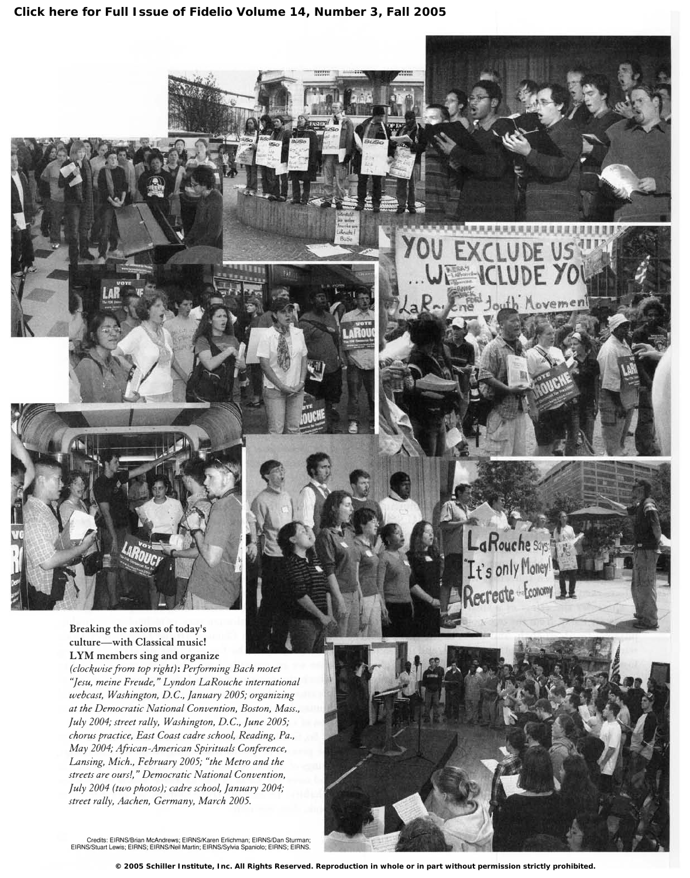

(clockwise from top right): Performing Bach motet "jesu, meine Freude," Lyndon LaRouche international webcast, Washington, D.C., January 2005; organizing at the Democratic National Convention, Boston, Mass., July 2004; street rally, Washington, D.C., June 2005; chorus practice, East Coast cadre school, Reading, Pa., May 2004; African-American Spirituals Conference, Lansing, Mich., February 2005; "the Metro and the streets are ours!," Democratic National Convention, July 2004 (two photos); cadre school, January 2004; street rally, Aachen, Germany, March 2005.

Credits: EIRNSIBrian McAndrews; EIRNSIKaren Erlichman; EIRNSIDan Sturman; EIRNSIStuart Lewis; EIRNS; EIRNSINeil Martin; EIRNSISylvia Spaniolo; EIRNS; EIRNS.



La Rouche says:

Tt's only Money

oveme

**© 2005 Schiller Institute, Inc. All Rights Reserved. Reproduction in whole or in part without permission strictly prohibited.**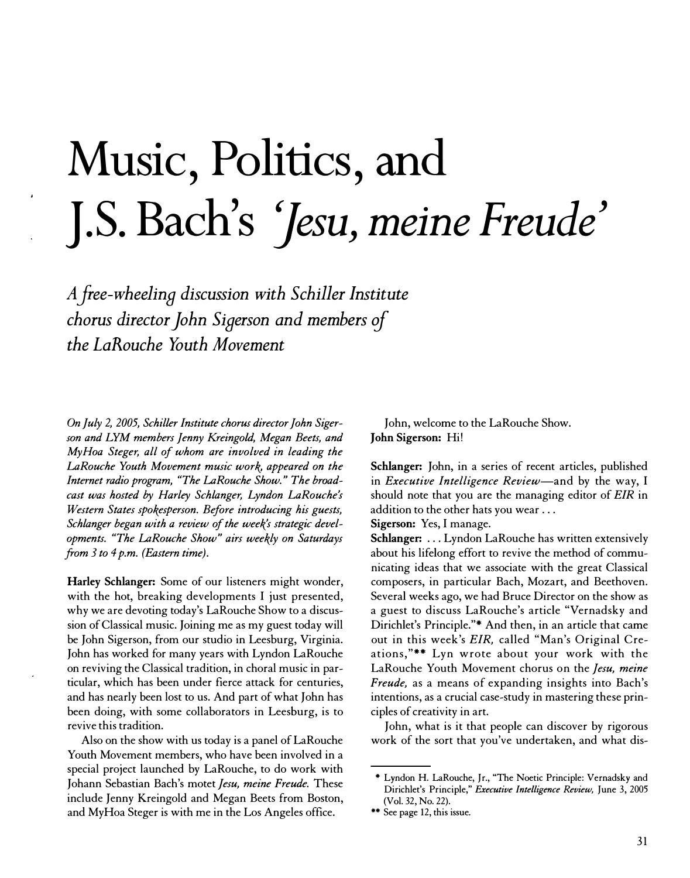## Music, Politics, and J.S. Bach's 'Jesu, meine Freude'

<sup>A</sup>free-wheelina discussion with Schiller Institute chorus director John Sigerson and members of the LaRouche Youth Movement

On July 2, 2005, Schiller Institute chorus director John Sigerson and LYM members Jenny Kreingold, Megan Beets, and MyHoa Steger, all of whom are involved in leading the LaRouche Youth Movement music work, appeared on the Internet radio program, "The LaRouche Show." The broadcast was hosted by Harley Schlanger, Lyndon LaRouche's Western States spokesperson. Before introducing his guests, Schlanger began with a review of the week's strategic developments. "The LaRouche Show" airs weekly on Saturdays from  $3$  to  $4$  p.m. (Eastern time).

Harley Schlanger: Some of our listeners might wonder, with the hot, breaking developments I just presented, why we are devoting today's LaRouche Show to a discussion of Classical music. Joining me as my guest today will be John Sigerson, from our studio in Leesburg, Virginia. John has worked for many years with Lyndon LaRouche on reviving the Classical tradition, in choral music in particular, which has been under fierce attack for centuries, and has nearly been lost to us. And part of what John has been doing, with some collaborators in Leesburg, is to revive this tradition.

Also on the show with us today is a panel of LaRouche Youth Movement members, who have been involved in a special project launched by LaRouche, to do work with Johann Sebastian Bach's motet Jesu, meine Freude. These include Jenny Kreingold and Megan Beets from Boston, and MyHoa Steger is with me in the Los Angeles office.

John, welcome to the LaRouche Show. John Sigerson: Hi!

Schlanger: John, in a series of recent articles, published in *Executive Intelligence Review*—and by the way, I should note that you are the managing editor of EIR in addition to the other hats you wear ...

Sigerson: Yes, I manage.

Schlanger: ... Lyndon LaRouche has written extensively about his lifelong effort to revive the method of communicating ideas that we associate with the great Classical composers, in particular Bach, Mozart, and Beethoven. Several weeks ago, we had Bruce Director on the show as a guest to discuss LaRouche's article "Vernadsky and Dirichlet's Principle."\* And then, in an article that came out in this week's EIR, called "Man's Original Creations,"\*\* Lyn wrote about your work with the LaRouche Youth Movement chorus on the Jesu, meine Freude, as a means of expanding insights into Bach's intentions, as a crucial case-study in mastering these principles of creativity in art.

John, what is it that people can discover by rigorous work of the sort that you've undertaken, and what dis-

<sup>•</sup> Lyndon H. LaRouche, Jr., "The Noetic Principle: Vernadsky and Dirichlet's Principle," Executive Intelligence Review, June 3, 2005 (Vol. 32, No. 22).

<sup>\*\*</sup> See page 12, this issue.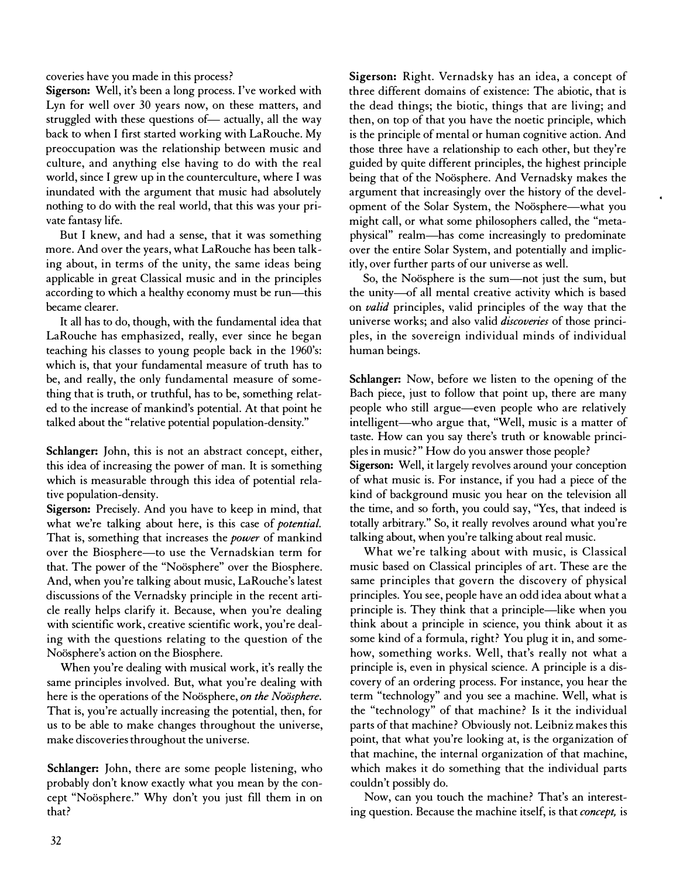coveries have you made in this process?

Sigerson: Well, it's been a long process. I've worked with Lyn for well over 30 years now, on these matters, and struggled with these questions of— actually, all the way back to when I first started working with LaRouche. My preoccupation was the relationship between music and culture, and anything else having to do with the real world, since I grew up in the counterculture, where I was inundated with the argument that music had absolutely nothing to do with the real world, that this was your private fantasy life.

But I knew, and had a sense, that it was something more. And over the years, what LaRouche has been talking about, in terms of the unity, the same ideas being applicable in great Classical music and in the principles according to which a healthy economy must be run—this became clearer.

It all has to do, though, with the fundamental idea that LaRouche has emphasized, really, ever since he began teaching his classes to young people back in the 1960's: which is, that your fundamental measure of truth has to be, and really, the only fundamental measure of something that is truth, or truthful, has to be, something related to the increase of mankind's potential. At that point he talked about the "relative potential population-density."

Schlanger: John, this is not an abstract concept, either, this idea of increasing the power of man. It is something which is measurable through this idea of potential relative population-density.

Sigerson: Precisely. And you have to keep in mind, that what we're talking about here, is this case of potential. That is, something that increases the *power* of mankind over the Biosphere—to use the Vernadskian term for that. The power of the "Noösphere" over the Biosphere. And, when you're talking about music, LaRouche's latest discussions of the Vernadsky principle in the recent article really helps clarify it. Because, when you're dealing with scientific work, creative scientific work, you're dealing with the questions relating to the question of the Noösphere's action on the Biosphere.

When you're dealing with musical work, it's really the same principles involved. But, what you're dealing with here is the operations of the Noösphere, on the Noösphere. That is, you're actually increasing the potential, then, for us to be able to make changes throughout the universe, make discoveries throughout the universe.

Schlanger: John, there are some people listening, who probably don't know exactly what you mean by the concept "Noösphere." Why don't you just fill them in on that?

Sigerson: Right. Vernadsky has an idea, a concept of three different domains of existence: The abiotic, that is the dead things; the biotic, things that are living; and then, on top of that you have the noetic principle, which is the principle of mental or human cognitive action. And those three have a relationship to each other, but they're guided by quite different principles, the highest principle being that of the Noösphere. And Vernadsky makes the argument that increasingly over the history of the development of the Solar System, the Noösphere-what you might call, or what some philosophers called, the "metaphysical" realm-has come increasingly to predominate over the entire Solar System, and potentially and implicitly, over further parts of our universe as well.

So, the Noösphere is the sum-not just the sum, but the unity-of all mental creative activity which is based on *valid* principles, valid principles of the way that the universe works; and also valid *discoveries* of those principles, in the sovereign individual minds of individual human beings.

Schlanger: Now, before we listen to the opening of the Bach piece, just to follow that point up, there are many people who still argue-even people who are relatively intelligent-who argue that, "Well, music is a matter of taste. How can you say there's truth or knowable principles in music?" How do you answer those people? Sigerson: Well, it largely revolves around your conception of what music is. For instance, if you had a piece of the kind of background music you hear on the television all the time, and so forth, you could say, "Yes, that indeed is totally arbitrary." So, it really revolves around what you're talking about, when you're talking about real music.

What we're talking about with music, is Classical music based on Classical principles of art. These are the same principles that govern the discovery of physical principles. You see, people have an odd idea about what a principle is. They think that a principle-like when you think about a principle in science, you think about it as some kind of a formula, right? You plug it in, and somehow, something works. Well, that's really not what a principle is, even in physical science. A principle is a discovery of an ordering process. For instance, you hear the term "technology" and you see a machine. Well, what is the "technology" of that machine? Is it the individual parts of that machine? Obviously not. Leibniz makes this point, that what you're looking at, is the organization of that machine, the internal organization of that machine, which makes it do something that the individual parts couldn't possibly do.

Now, can you touch the machine? That's an interesting question. Because the machine itself, is that concept, is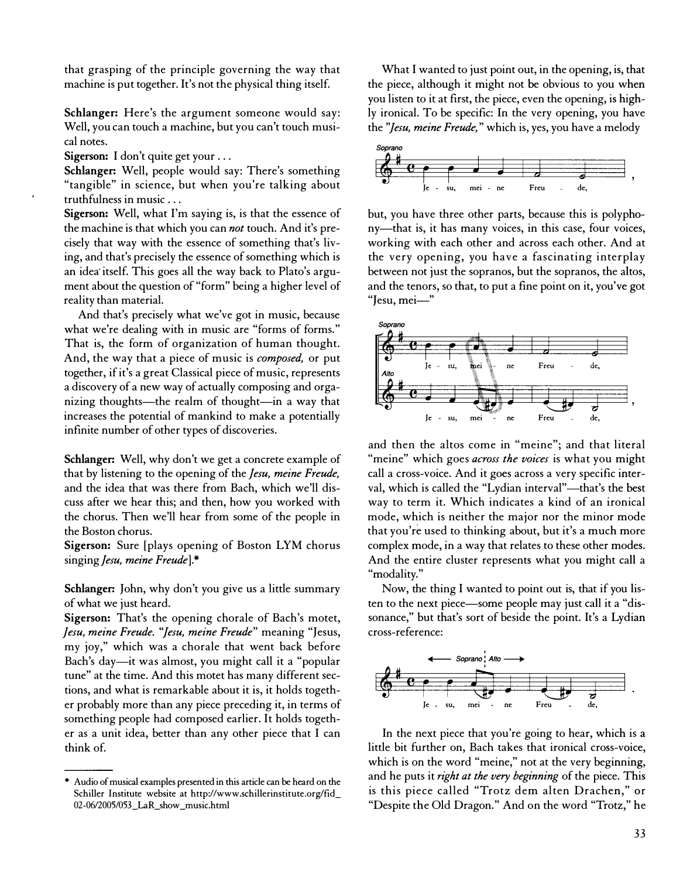that grasping of the principle governing the way that machine is put together. It's not the physical thing itself.

Schlanger: Here's the argument someone would say: Well, you can touch a machine, but you can't touch musical notes.

Sigerson: I don't quite get your ...

Schlanger: Well, people would say: There's something "tangible" in science, but when you're talking about truthfulness in music ...

Sigerson: Well, what I'm saying is, is that the essence of the machine is that which you can *not* touch. And it's precisely that way with the essence of something that's living, and that's precisely the essence of something which is an idea itself. This goes all the way back to Plato's argument about the question of "form" being a higher level of reality than material.

And that's precisely what we've got in music, because what we're dealing with in music are "forms of forms." That is, the form of organization of human thought. And, the way that a piece of music is *composed*, or put together, if it's a great Classical piece of music, represents a discovery of a new way of actually composing and organizing thoughts—the realm of thought—in a way that increases the potential of mankind to make a potentially infinite number of other types of discoveries.

Schlanger: Well, why don't we get a concrete example of that by listening to the opening of the *Jesu*, meine Freude, and the idea that was there from Bach, which we'll discuss after we hear this; and then, how you worked with the chorus. Then we'll hear from some of the people in the Boston chorus.

Sigerson: Sure [plays opening of Boston LYM chorus singing Jesu, meine Freude].\*

Schlanger: John, why don't you give us a little summary of what we just heard.

Sigerson: That's the opening chorale of Bach's motet, Jesu, meine Freude. "Jesu, meine Freude" meaning "Jesus, my joy," which was a chorale that went back before Bach's day-it was almost, you might call it a "popular tune" at the time. And this motet has many different sections, and what is remarkable about it is, it holds together probably more than any piece preceding it, in terms of something people had composed earlier. It holds together as a unit idea, better than any other piece that I can think of.

What I wanted to just point out, in the opening, is, that the piece, although it might not be obvious to you when you listen to it at first, the piece, even the opening, is highly ironical. To be specific: In the very opening, you have the "Jesu, meine Freude," which is, yes, you have a melody



but, you have three other parts, because this is polyphony—that is, it has many voices, in this case, four voices, working with each other and across each other. And at the very opening, you have a fascinating interplay between not just the sopranos, but the sopranos, the altos, and the tenors, so that, to put a fine point on it, you've got "Jesu, mei-"



and then the altos come in "meine"; and that literal "meine" which goes *across the voices* is what you might call a cross-voice. And it goes across a very specific interval, which is called the "Lydian interval"-that's the best way to term it. Which indicates a kind of an ironical mode, which is neither the major nor the minor mode that you're used to thinking about, but it's a much more complex mode, in a way that relates to these other modes. And the entire cluster represents what you might call a "modality."

Now, the thing I wanted to point out is, that if you listen to the next piece—some people may just call it a "dissonance," but that's sort of beside the point. It's a Lydian cross-reference:



In the next piece that you're going to hear, which is a little bit further on, Bach takes that ironical cross-voice, which is on the word "meine," not at the very beginning, and he puts it right at the very beginning of the piece. This is this piece called "Trotz dem alten Drachen," or "Despite the Old Dragon." And on the word "Trotz," he

<sup>•</sup> Audio of musical examples presented in this article can be heard on the Schiller Institute website at http://www.schillerinstitute.org/fid\_ 02-06/2005/053\_LaR\_show \_music.html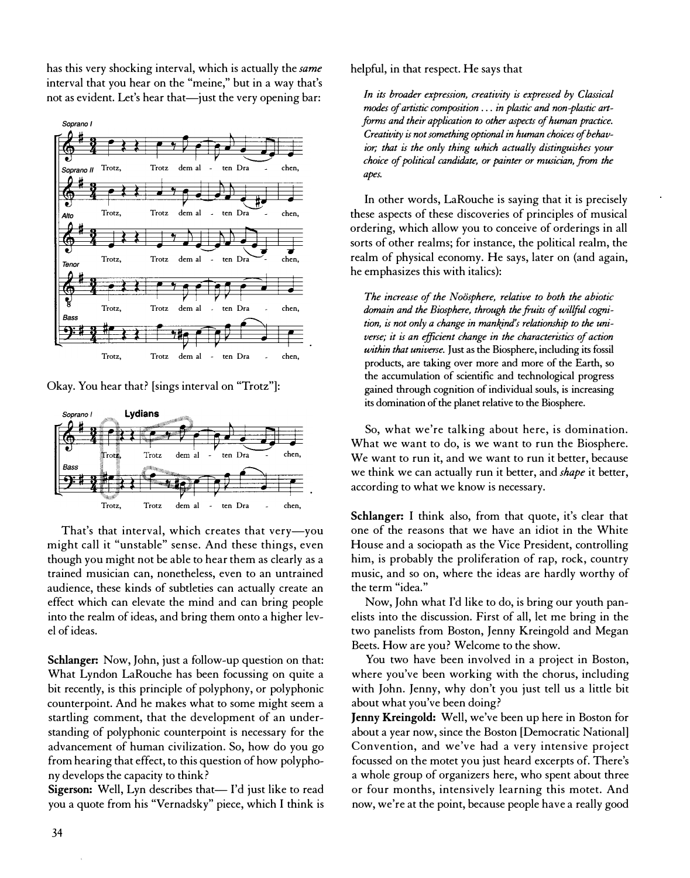has this very shocking interval, which is actually the same interval that you hear on the "meine," but in a way that's not as evident. Let's hear that-just the very opening bar:



Okay. You hear that? [sings interval on "Trotz"]:



That's that interval, which creates that very-you might call it "unstable" sense. And these things, even though you might not be able to hear them as clearly as a trained musician can, nonetheless, even to an untrained audience, these kinds of subtleties can actually create an effect which can elevate the mind and can bring people into the realm of ideas, and bring them onto a higher level of ideas.

Schlanger: Now, John, just a follow-up question on that: What Lyndon LaRouche has been focussing on quite a bit recently, is this principle of polyphony, or polyphonic counterpoint. And he makes what to some might seem a startling comment, that the development of an understanding of polyphonic counterpoint is necessary for the advancement of human civilization. So, how do you go from hearing that effect, to this question of how polyphony develops the capacity to think?

Sigerson: Well, Lyn describes that- I'd just like to read you a quote from his "Vernadsky" piece, which I think is helpful, in that respect. He says that

In its broader expression, creativity is expressed by Classical modes of artistic composition ... in plastic and non-plastic artforms and their application to other aspects of human practice. Creativity is not something optional in human choices of behavior; that is the only thing which actually distinguishes your choice of political candidate, or painter or musician, from the apes.

In other words, LaRouche is saying that it is precisely these aspects of these discoveries of principles of musical ordering, which allow you to conceive of orderings in all sorts of other realms; for instance, the political realm, the realm of physical economy. He says, later on (and again, he emphasizes this with italics):

The increase of the Noösphere, relative to both the abiotic domain and the Biosphere, through the fruits of willful cognition, is not only a change in mankjnd's relationship to the universe; it is an efficient change in the characteristics of action within that universe. Just as the Biosphere, including its fossil products, are taking over more and more of the Earth, so the accumulation of scientific and technological progress gained through cognition of individual souls, is increasing its domination of the planet relative to the Biosphere.

So, what we're talking about here, is domination. What we want to do, is we want to run the Biosphere. We want to run it, and we want to run it better, because we think we can actually run it better, and *shape* it better, according to what we know is necessary.

Schlanger: I think also, from that quote, it's clear that one of the reasons that we have an idiot in the White House and a sociopath as the Vice President, controlling him, is probably the proliferation of rap, rock, country music, and so on, where the ideas are hardly worthy of the term "idea."

Now, John what I'd like to do, is bring our youth panelists into the discussion. First of all, let me bring in the two panelists from Boston, Jenny Kreingold and Megan Beets. How are you? Welcome to the show.

You two have been involved in a project in Boston, where you've been working with the chorus, including with John. Jenny, why don't you just tell us a little bit about what you've been doing?

Jenny Kreingold: Well, we've been up here in Boston for about a year now, since the Boston [Democratic National] Convention, and we've had a very intensive project focussed on the motet you just heard excerpts of. There's a whole group of organizers here, who spent about three or four months, intensively learning this motet. And now, we're at the point, because people have a really good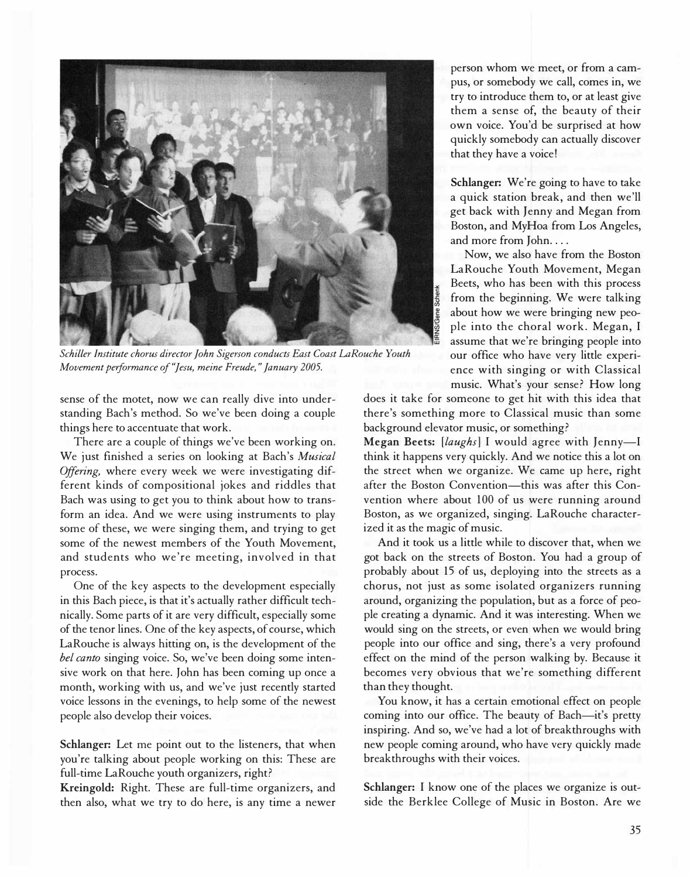

Schiller Institute chorus director John Sigerson conducts East Coast LaRouche Youth Movement performance of "Jesu, meine Freude," January 2005.

sense of the motet, now we can really dive into understanding Bach's method. So we've been doing a couple things here to accentuate that work.

There are a couple of things we've been working on. We just finished a series on looking at Bach's Musical Offering, where every week we were investigating different kinds of compositional jokes and riddles that Bach was using to get you to think about how to transform an idea. And we were using instruments to play some of these, we were singing them, and trying to get some of the newest members of the Youth Movement, and students who we're meeting, involved in that process.

One of the key aspects to the development especially in this Bach piece, is that it's actually rather difficult technically. Some parts of it are very difficult, especially some of the tenor lines. One of the key aspects, of course, which LaRouche is always hitting on, is the development of the bel canto singing voice. So, we've been doing some intensive work on that here. John has been coming up once a month, working with us, and we've just recently started voice lessons in the evenings, to help some of the newest people also develop their voices.

Schlanger: Let me point out to the listeners, that when you're talking about people working on this: These are full-time LaRouche youth organizers, right?

Kreingold: Right. These are full-time organizers, and then also, what we try to do here, is any time a newer

person whom we meet, or from a campus, or somebody we call, comes in, we try to introduce them to, or at least give them a sense of, the beauty of their own voice. You'd be surprised at how quickly somebody can actually discover that they have a voice!

Schlanger: We're going to have to take a quick station break, and then we'll get back with Jenny and Megan from Boston, and MyHoa from Los Angeles, and more from John....

Now, we also have from the Boston LaRouche Youth Movement, Megan � Beets, who has been with this process from the beginning. We were talking about how we were bringing new people into the choral work. Megan, I assume that we're bringing people into our office who have very little experience with singing or with Classical music. What's your sense? How long

does it take for someone to get hit with this idea that there's something more to Classical music than some background elevator music, or something?

Megan Beets:  $[lag] I$  would agree with Jenny-I think it happens very quickly. And we notice this a lot on the street when we organize. We came up here, right after the Boston Convention-this was after this Convention where about 100 of us were running around Boston, as we organized, singing. LaRouche characterized it as the magic of music.

And it took us a little while to discover that, when we got back on the streets of Boston. You had a group of probably about 15 of us, deploying into the streets as a chorus, not just as some isolated organizers running around, organizing the population, but as a force of people creating a dynamic. And it was interesting. When we would sing on the streets, or even when we would bring people into our office and sing, there's a very profound effect on the mind of the person walking by. Because it becomes very obvious that we're something different than they thought.

You know, it has a certain emotional effect on people coming into our office. The beauty of Bach-it's pretty inspiring. And so, we've had a lot of breakthroughs with new people coming around, who have very quickly made breakthroughs with their voices.

Schlanger: I know one of the places we organize is outside the Berklee College of Music in Boston. Are we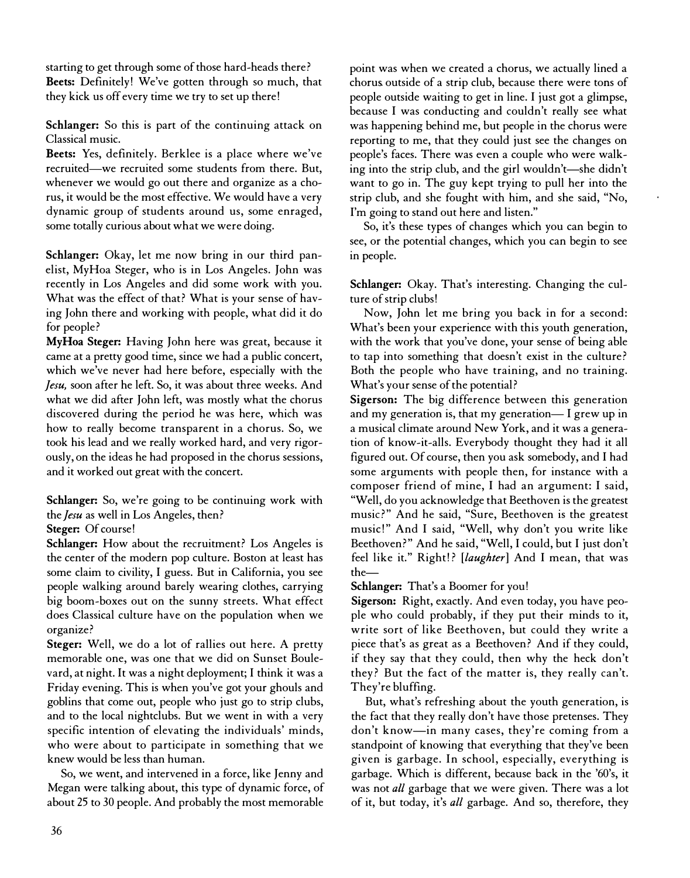starting to get through some of those hard-heads there? Beets: Definitely! We've gotten through so much, that they kick us off every time we try to set up there!

Schlanger: So this is part of the continuing attack on Classical music.

Beets: Yes, definitely. Berklee is a place where we've recruited-we recruited some students from there. But, whenever we would go out there and organize as a chorus, it would be the most effective. We would have a very dynamic group of students around us, some enraged, some totally curious about what we were doing.

Schlanger: Okay, let me now bring in our third panelist, MyHoa Steger, who is in Los Angeles. John was recently in Los Angeles and did some work with you. What was the effect of that? What is your sense of having John there and working with people, what did it do for people?

MyHoa Steger: Having John here was great, because it came at a pretty good time, since we had a public concert, which we've never had here before, especially with the Jesu, soon after he left. So, it was about three weeks. And what we did after John left, was mostly what the chorus discovered during the period he was here, which was how to really become transparent in a chorus. So, we took his lead and we really worked hard, and very rigorously, on the ideas he had proposed in the chorus sessions, and it worked out great with the concert.

Schlanger: So, we're going to be continuing work with the *Jesu* as well in Los Angeles, then?

Steger: Of course!

Schlanger: How about the recruitment? Los Angeles is the center of the modern pop culture. Boston at least has some claim to civility, I guess. But in California, you see people walking around barely wearing clothes, carrying big boom-boxes out on the sunny streets. What effect does Classical culture have on the population when we organize?

Steger: Well, we do a lot of rallies out here. A pretty memorable one, was one that we did on Sunset Boulevard, at night. It was a night deployment; I think it was a Friday evening. This is when you've got your ghouls and goblins that come out, people who just go to strip clubs, and to the local nightclubs. But we went in with a very specific intention of elevating the individuals' minds, who were about to participate in something that we knew would be less than human.

So, we went, and intervened in a force, like Jenny and Megan were talking about, this type of dynamic force, of about 25 to 30 people. And probably the most memorable

point was when we created a chorus, we actually lined a chorus. outside of a strip club, because there were tons of people outside waiting to get in line. I just got a glimpse, because I was conducting and couldn't really see what was happening behind me, but people in the chorus were reporting to me, that they could just see the changes on people's faces. There was even a couple who were walking into the strip club, and the girl wouldn't—she didn't want to go in. The guy kept trying to pull her into the strip club, and she fought with him, and she said, "No, I'm going to stand out here and listen."

So, it's these types of changes which you can begin to see, or the potential changes, which you can begin to see in people.

Schlanger: Okay. That's interesting. Changing the culture of strip clubs!

Now, John let me bring you back in for a second: What's been your experience with this youth generation, with the work that you've done, your sense of being able to tap into something that doesn't exist in the culture? Both the people who have training, and no training. What's your sense of the potential?

Sigerson: The big difference between this generation and my generation is, that my generation- I grew up in a musical climate around New York, and it was a generation of know-it-alls. Everybody thought they had it all figured out. Of course, then you ask somebody, and I had some arguments with people then, for instance with a composer friend of mine, I had an argument: I said, "Well, do you acknowledge that Beethoven is the greatest music?" And he said, "Sure, Beethoven is the greatest music!" And I said, "Well, why don't you write like Beethoven?" And he said, "Well, I could, but I just don't feel like it." Right!? [laughter] And I mean, that was the-

Schlanger: That's a Boomer for you!

Sigerson: Right, exactly. And even today, you have people who could probably, if they put their minds to it, write sort of like Beethoven, but could they write a piece that's as great as a Beethoven? And if they could, if they say that they could, then why the heck don't they? But the fact of the matter is, they really can't. They're bluffing.

But, what's refreshing about the youth generation, is the fact that they really don't have those pretenses. They don't know-in many cases, they're coming from a standpoint of knowing that everything that they've been given is garbage. In school, especially, everything is garbage. Which is different, because back in the '60's, it was not all garbage that we were given. There was a lot of it, but today, it's all garbage. And so, therefore, they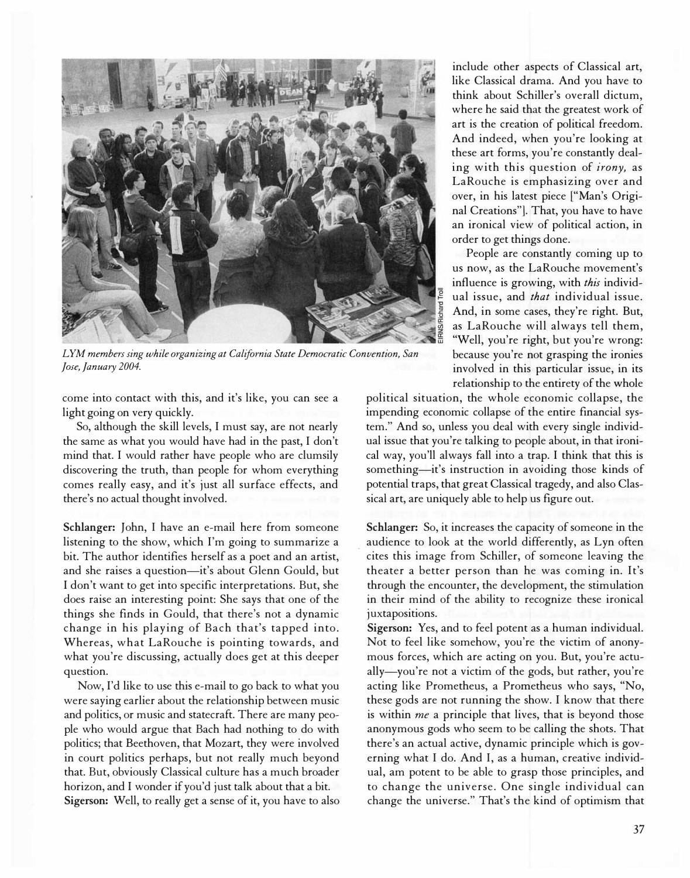

LYM members sing while organizing at California State Democratic Convention, San Jose, January 2004.

come into contact with this, and it's like, you can see a light going on very quickly.

So, although the skill levels, I must say, are not nearly the same as what you would have had in the past, I don't mind that. I would rather have people who are clumsily discovering the truth, than people for whom everything comes really easy, and it's just all surface effects, and there's no actual thought involved.

Schlanger: John, I have an e-mail here from someone listening to the show, which I'm going to summarize a bit. The author identifies herself as a poet and an artist, and she raises a question-it's about Glenn Gould, but I don't want to get into specific interpretations. But, she does raise an interesting point: She says that one of the things she finds in Gould, that there's not a dynamic change in his playing of Bach that's tapped into. Whereas, what LaRouche is pointing towards, and what you're discussing, actually does get at this deeper question.

Now, I'd like to use this e-mail to go back to what you were saying earlier about the relationship between music and politics, or music and statecraft. There are many people who would argue that Bach had nothing to do with politics; that Beethoven, that Mozart, they were involved in court politics perhaps, but not really much beyond that. But, obviously Classical culture has a much broader horizon, and I wonder if you'd just talk about that a bit. Sigerson: Well, to really get a sense of it, you have to also

include other aspects of Classical art, like Classical drama. And you have to think about Schiller's overall dictum, where he said that the greatest work of art is the creation of political freedom. And indeed, when you're looking at these art forms, you're constantly dealing with this question of irony, as LaRouche is emphasizing over and over, in his latest piece ["Man's Original Creations"]. That, you have to have an ironical view of political action, in order to get things done.

People are constantly coming up to us now, as the LaRouche movement's influence is growing, with this individual issue, and that individual issue. And, in some cases, they're right. But, as LaRouche will always tell them, "Well, you're right, but you're wrong: because you're not grasping the ironies involved in this particular issue, in its relationship to the entirety of the whole

political situation, the whole economic collapse, the impending economic collapse of the entire financial system." And so, unless you deal with every single individual issue that you're talking to people about, in that ironical way, you'll always fall into a trap. I think that this is something-it's instruction in avoiding those kinds of potential traps, that great Classical tragedy, and also Classical art, are uniquely able to help us figure out.

Schlanger: So, it increases the capacity of someone in the audience to look at the world differently, as Lyn often cites this image from Schiller, of someone leaving the theater a better person than he was coming in. It's through the encounter, the development, the stimulation in their mind of the ability to recognize these ironical juxtapositions.

Sigerson: Yes, and to feel potent as a human individual. Not to feel like somehow, you're the victim of anonymous forces, which are acting on you. But, you're actually-you're not a victim of the gods, but rather, you're acting like Prometheus, a Prometheus who says, "No, these gods are not running the show. I know that there is within me a principle that lives, that is beyond those anonymous gods who seem to be calling the shots. That there's an actual active, dynamic principle which is governing what I do. And I, as a human, creative individual, am potent to be able to grasp those principles, and to change the universe. One single individual can change the universe." That's the kind of optimism that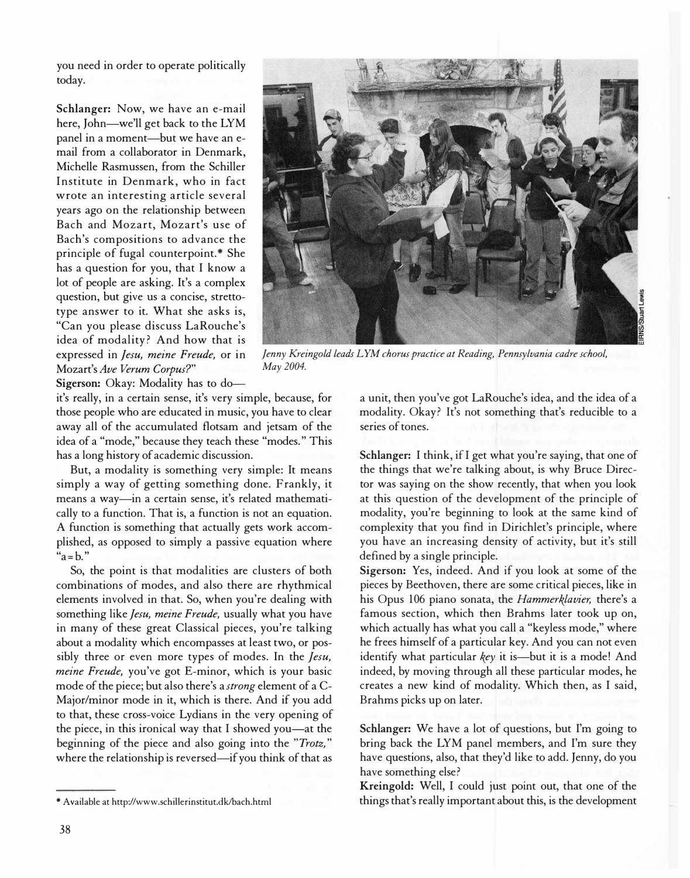you need in order to operate politically today.

Schlanger: Now, we have an e-mail here, John-we'll get back to the LYM panel in a moment-but we have an email from a collaborator in Denmark, Michelle Rasmussen, from the Schiller Institute in Denmark, who in fact wrote an interesting article several years ago on the relationship between Bach and Mozart, Mozart's use of Bach's compositions to advance the principle of fugal counterpoint.\* She has a question for you, that I know a lot of people are asking. It's a complex question, but give us a concise, strettotype answer to it. What she asks is, "Can you please discuss LaRouche's idea of modality? And how that is expressed in Jesu, meine Freude, or in Mozart's Ave Verum Corpus?"



Jenny Kreingold leads LYM chorus practice at Reading, Pennsylvania cadre school, May 2004.

Sigerson: Okay: Modality has to do---

it's really, in a certain sense, it's very simple, because, for those people who are educated in music, you have to clear away all of the accumulated flotsam and jetsam of the idea of a "mode," because they teach these "modes." This has a long history of academic discussion.

But, a modality is something very simple: It means simply a way of getting something done. Frankly, it means a way-in a certain sense, it's related mathematically to a function. That is, a function is not an equation. A function is something that actually gets work accomplished, as opposed to simply a passive equation where  $a = b$ ."

So, the point is that modalities are clusters of both combinations of modes, and also there are rhythmical elements involved in that. So, when you're dealing with something like Jesu, meine Freude, usually what you have in many of these great Classical pieces, you're talking about a modality which encompasses at least two, or possibly three or even more types of modes. In the Jesu, meine Freude, you've got E-minor, which is your basic mode of the piece; but also there's a strong element of a C-Major/minor mode in it, which is there. And if you add to that, these cross-voice Lydians in the very opening of the piece, in this ironical way that I showed you-at the beginning of the piece and also going into the "Trotz," where the relationship is reversed-if you think of that as

a unit, then you've got LaRouche's idea, and the idea of a modality. Okay? It's not something that's reducible to a series of tones.

Schlanger: I think, if I get what you're saying, that one of the things that we're talking about, is why Bruce Director was saying on the show recently, that when you look at this question of the development of the principle of modality, you're beginning to look at the same kind of complexity that you find in Dirichlet's principle, where you have an increasing density of activity, but it's still defined by a single principle.

Sigerson: Yes, indeed. And if you look at some of the pieces by Beethoven, there are some critical pieces, like in his Opus 106 piano sonata, the Hammerklavier, there's a famous section, which then Brahms later took up on, which actually has what you call a "keyless mode," where he frees himself of a particular key. And you can not even identify what particular key it is-but it is a mode! And indeed, by moving through all these particular modes, he creates a new kind of modality. Which then, as I said, Brahms picks up on later.

Schlanger: We have a lot of questions, but I'm going to bring back the LYM panel members, and I'm sure they have questions, also, that they'd like to add. Jenny, do you have something else?

Kreingold: Well, I could just point out, that one of the things that's really important about this, is the development

<sup>\*</sup> Available at http://www.schillerinstitut.dk/bach.html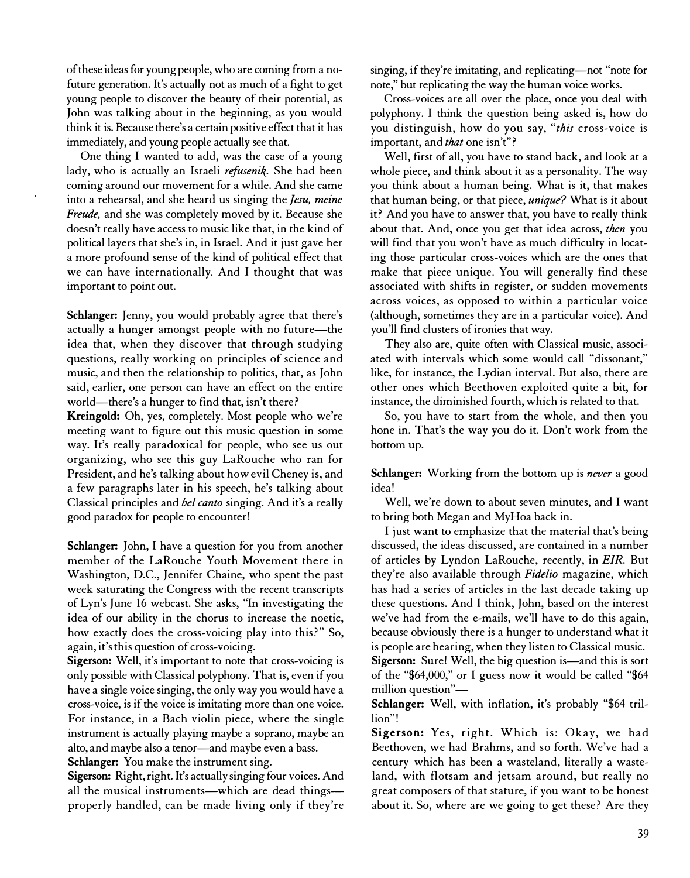of these ideas for young people, who are coming from a nofuture generation. It's actually not as much of a fight to get young people to discover the beauty of their potential, as John was talking about in the beginning, as you would think it is. Because there's a certain positive effect that it has immediately, and young people actually see that.

One thing I wanted to add, was the case of a young lady, who is actually an Israeli refusenik. She had been coming around our movement for a while. And she came into a rehearsal, and she heard us singing the Jesu, meine Freude, and she was completely moved by it. Because she doesn't really have access to music like that, in the kind of political layers that she's in, in Israel. And it just gave her a more profound sense of the kind of political effect that we can have internationally. And I thought that was important to point out.

Schlanger: Jenny, you would probably agree that there's actually a hunger amongst people with no future-the idea that, when they discover that through studying questions, really working on principles of science and music, and then the relationship to politics, that, as John said, earlier, one person can have an effect on the entire world—there's a hunger to find that, isn't there?

Kreingold: Oh, yes, completely. Most people who we're meeting want to figure out this music question in some way. It's really paradoxical for people, who see us out organizing, who see this guy LaRouche who ran for President, and he's talking about how evil Cheney is, and a few paragraphs later in his speech, he's talking about Classical principles and bel canto singing. And it's a really good paradox for people to encounter!

Schlanger: John, I have a question for you from another member of the LaRouche Youth Movement there in Washington, D.C., Jennifer Chaine, who spent the past week saturating the Congress with the recent transcripts of Lyn's June 16 webcast. She asks, "In investigating the idea of our ability in the chorus to increase the noetic, how exactly does the cross-voicing play into this?" So, again, it's this question of cross-voicing.

Sigerson: Well, it's important to note that cross-voicing is only possible with Classical polyphony. That is, even if you have a single voice singing, the only way you would have a cross-voice, is if the voice is imitating more than one voice. For instance, in a Bach violin piece, where the single instrument is actually playing maybe a soprano, maybe an alto, and maybe also a tenor-and maybe even a bass. Schlanger: You make the instrument sing.

Sigerson: Right, right. It's actually singing four voices. And all the musical instruments-which are dead thingsproperly handled, can be made living only if they're singing, if they're imitating, and replicating-not "note for note," but replicating the way the human voice works.

Cross-voices are all over the place, once you deal with polyphony. I think the question being asked is, how do you distinguish, how do you say, "this cross-voice is important, and that one isn't"?

Well, first of all, you have to stand back, and look at a whole piece, and think about it as a personality. The way you think about a human being. What is it, that makes that human being, or that piece, unique? What is it about it? And you have to answer that, you have to really think about that. And, once you get that idea across, then you will find that you won't have as much difficulty in locating those particular cross-voices which are the ones that make that piece unique. You will generally find these associated with shifts in register, or sudden movements across voices, as opposed to within a particular voice (although, sometimes they are in a particular voice). And you'll find clusters of ironies that way.

They also are, quite often with Classical music, associated with intervals which some would call "dissonant," like, for instance, the Lydian interval. But also, there are other ones which Beethoven exploited quite a bit, for instance, the diminished fourth, which is related to that.

So, you have to start from the whole, and then you hone in. That's the way you do it. Don't work from the bottom up.

Schlanger: Working from the bottom up is never a good idea!

Well, we're down to about seven minutes, and I want to bring both Megan and MyHoa back in.

I just want to emphasize that the material that's being discussed, the ideas discussed, are contained in a number of articles by Lyndon LaRouche, recently, in EIR. But they're also available through Fidelio magazine, which has had a series of articles in the last decade taking up these questions. And I think, John, based on the interest we've had from the e-mails, we'll have to do this again, because obviously there is a hunger to understand what it is people are hearing, when they listen to Classical music. Sigerson: Sure! Well, the big question is—and this is sort of the "\$64,000," or I guess now it would be called "\$64 million question"-

Schlanger: Well, with inflation, it's probably "\$64 trillion"!

Sigerson: Yes, right. W hich is: Okay, we had Beethoven, we had Brahms, and so forth. We've had a century which has been a wasteland, literally a wasteland, with flotsam and jetsam around, but really no great composers of that stature, if you want to be honest about it. So, where are we going to get these? Are they